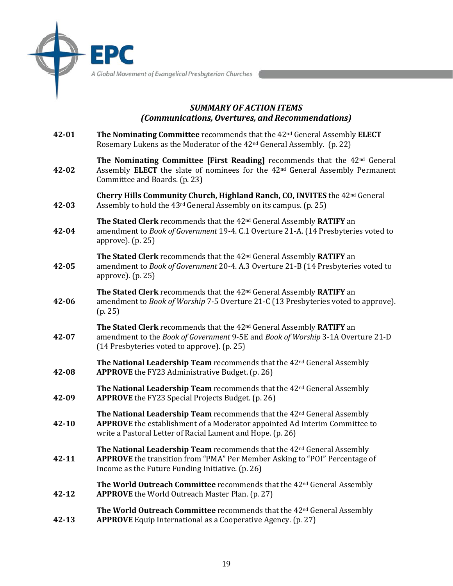A Global Movement of Evangelical Presbyterian Churches

## *SUMMARY OF ACTION ITEMS (Communications, Overtures, and Recommendations)*

**42-01 42-02 42-03 42-04 42-05 42-06 42-07 42-08 42-09 42-10 42-11 42-12 42-13 The Nominating Committee** recommends that the 42nd General Assembly **ELECT**  Rosemary Lukens as the Moderator of the 42nd General Assembly. (p. 22) **[The Nominating Committee](http://www.epc.org/2022report-nominating) [First Reading]** recommends that the 42nd General Assembly **ELECT** the slate of nominees for the 42nd General Assembly Permanent Committee and Boards. (p. 23) **Cherry Hills Community Church, Highland Ranch, CO, [INVITES](https://epc.org/wp-content/uploads/Files/2-What-We-Do/2-General-Assembly-Meeting/2022/OtherDocuments/42GADocument-GA2023InvitationLetter.pdf)** the 42nd General Assembly to hold the 43rd General Assembly on its campus. (p. 25) **The Stated Clerk** recommends that the 42nd General Assembly **RATIFY** an amendment to *Book of Government* 19-4. C.1 [Overture 21-A.](https://epc.org/wp-content/uploads/Files/2-What-We-Do/2-General-Assembly-Meeting/2022/DescendingOvertures/42GADocument-DescendingOverture21A.pdf) (14 Presbyteries voted to approve). (p. 25) **The Stated Clerk** recommends that the 42nd General Assembly **RATIFY** an amendment to *Book of Government* 20-4. A.3 [Overture 21-B](https://epc.org/wp-content/uploads/Files/2-What-We-Do/2-General-Assembly-Meeting/2022/DescendingOvertures/42GADocument-DescendingOverture21B.pdf) (14 Presbyteries voted to approve). (p. 25) **The Stated Clerk** recommends that the 42nd General Assembly **RATIFY** an amendment to *Book of Worship* 7-5 [Overture 21-C](https://epc.org/wp-content/uploads/Files/2-What-We-Do/2-General-Assembly-Meeting/2022/DescendingOvertures/42GADocument-DescendingOverture21C.pdf) (13 Presbyteries voted to approve). (p. 25) **The Stated Clerk** recommends that the 42nd General Assembly **RATIFY** an amendment to the *Book of Government* 9-5E and *Book of Worship* 3-1A [Overture 21-D](https://epc.org/wp-content/uploads/Files/2-What-We-Do/2-General-Assembly-Meeting/2022/DescendingOvertures/42GADocument-DescendingOverture21D.pdf) (14 Presbyteries voted to approve). (p. 25) **The National Leadership Team** recommends that the 42nd General Assembly **APPROVE** the [FY23 Administrative Budget.](https://epc.org/wp-content/uploads/Files/2-What-We-Do/2-General-Assembly-Meeting/2022/OtherDocuments/42GADocument-FY23Budget.pdf) (p. 26) **The National Leadership Team** recommends that the 42nd General Assembly **APPROVE** the [FY23 Special Projects Budget.](https://epc.org/wp-content/uploads/Files/2-What-We-Do/2-General-Assembly-Meeting/2022/OtherDocuments/42GADocument-FY23SpecialProjects.pdf) (p. 26) **The National Leadership Team** recommends that the 42nd General Assembly **APPROVE** the establishment of a Moderator appointed Ad Interim Committee to write a Pastoral Letter of Racial Lament and Hope. (p. 26) **The National Leadership Team** recommends that the 42nd General Assembly **APPROVE** the transition from "PMA" Per Member Asking to "POI" Percentage of Income as the Future Funding Initiative. (p. 26) **The World Outreach Committee** recommends that the 42nd General Assembly **APPROVE** the [World Outreach Master Plan.](https://epc.org/wp-content/uploads/Files/2-What-We-Do/2-General-Assembly-Meeting/2022/CommitteeReportAttachments/42GAReport-WOReport-ProposedMasterPlan.pdf) (p. 27) **The World Outreach Committee** recommends that the 42nd General Assembly **APPROVE** [Equip International a](https://epc.org/wp-content/uploads/Files/2-What-We-Do/2-General-Assembly-Meeting/2022/CommitteeReportAttachments/42GAReport-WOReport-Equip.pdf)s a Cooperative Agency. (p. 27)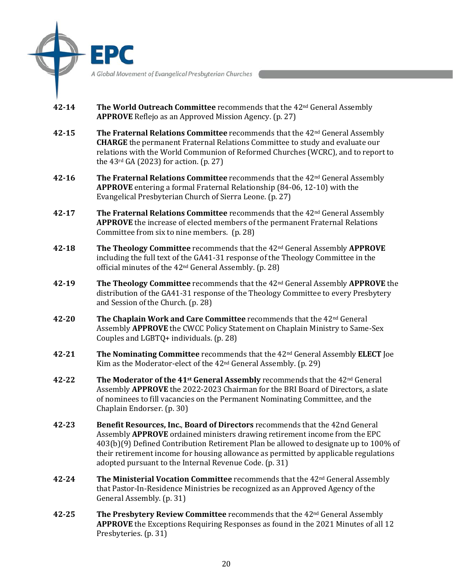A Global Movement of Evangelical Presbyterian Churches

- **42-14 The World Outreach Committee** recommends that the 42nd General Assembly **APPROVE** [Reflejo](https://epc.org/wp-content/uploads/Files/2-What-We-Do/2-General-Assembly-Meeting/2022/CommitteeReportAttachments/42GAReport-WOReport-Reflejo.pdf) as an Approved Mission Agency. (p. 27)
- **42-15 The Fraternal Relations Committee** recommends that the 42nd General Assembly **CHARGE** the permanent Fraternal Relations Committee to study and evaluate our relations with the World Communion of Reformed Churches (WCRC), and to report to the 43rd GA (2023) for action. (p. 27)
- **42-16 The Fraternal Relations Committee** recommends that the 42nd General Assembly **APPROVE** entering a formal Fraternal Relationship (84-06, 12-10) with the Evangelical Presbyterian Church of Sierra Leone. (p. 27)
- **42-17 The Fraternal Relations Committee** recommends that the 42nd General Assembly **APPROVE** the increase of elected members of the permanent Fraternal Relations Committee from six to nine members. (p. 28)
- **42-18 The Theology Committee** recommends that the 42nd General Assembly **APPROVE** including the full text of the [GA41-31 response o](https://epc.org/wp-content/uploads/Files/2-What-We-Do/2-General-Assembly-Meeting/2022/CommitteeReportAttachments/42GAReport-TheologyCommitteeResponseToGA4131.pdf)f the Theology Committee in the official minutes of the 42nd General Assembly. (p. 28)
- **42-19 The Theology Committee** recommends that the 42nd General Assembly **APPROVE** the distribution of the [GA41-31 response of](https://epc.org/wp-content/uploads/Files/2-What-We-Do/2-General-Assembly-Meeting/2022/CommitteeReportAttachments/42GAReport-TheologyCommitteeResponseToGA4131.pdf) the Theology Committee to every Presbytery and Session of the Church. (p. 28)
- **42-20 The Chaplain Work and Care Committee** recommends that the 42nd General Assembly **APPROVE** the CWCC Policy Statement on [Chaplain Ministry to Same-Sex](https://epc.org/wp-content/uploads/Files/2-What-We-Do/2-General-Assembly-Meeting/2022/CommitteeReportAttachments/42GAReport-CWCC-PolicyStatementOnChaplainMinistryToLGBTQIndividualsAndSameSexCouples.pdf)  [Couples and LGBTQ](https://epc.org/wp-content/uploads/Files/2-What-We-Do/2-General-Assembly-Meeting/2022/CommitteeReportAttachments/42GAReport-CWCC-PolicyStatementOnChaplainMinistryToLGBTQIndividualsAndSameSexCouples.pdf)+ individuals. (p. 28)
- **42-21 The Nominating Committee** recommends that the 42nd General Assembly **ELECT** Joe Kim as the Moderator-elect of the 42nd General Assembly. (p. 29)
- **42-22 The Moderator of the 41st General Assembly** recommends that the 42nd General Assembly **APPROVE** the 2022-2023 Chairman for the BRI Board of Directors, a slate of nominees to fill vacancies on the Permanent Nominating Committee, and the Chaplain Endorser. (p. 30)
- **42-23 Benefit Resources, Inc.**, **Board of Directors** recommends that the 42nd General Assembly **APPROVE** ordained ministers drawing retirement income from the EPC 403(b)(9) Defined Contribution Retirement Plan be allowed to designate up to 100% of their retirement income for housing allowance as permitted by applicable regulations adopted pursuant to the Internal Revenue Code. (p. 31)
- **42-24 The Ministerial Vocation Committee** recommends that the 42<sup>nd</sup> General Assembly that [Pastor-In-Residence Ministries b](https://pirministries.org/)e recognized as an Approved Agency of the General Assembly. (p. 31)
- **42-25 [The Presbytery Review Committee](http://www.epc.org/2022report-prc)** recommends that the 42<sup>nd</sup> General Assembly **APPROVE** the Exceptions Requiring Responses as found in the 2021 Minutes of all 12 Presbyteries. (p. 31)